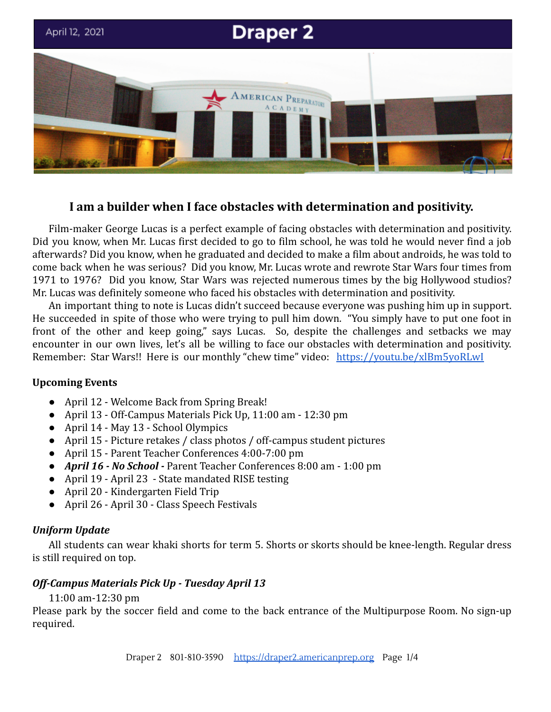

# **I am a builder when I face obstacles with determination and positivity.**

Film-maker George Lucas is a perfect example of facing obstacles with determination and positivity. Did you know, when Mr. Lucas first decided to go to film school, he was told he would never find a job afterwards? Did you know, when he graduated and decided to make a film about androids, he was told to come back when he was serious? Did you know, Mr. Lucas wrote and rewrote Star Wars four times from 1971 to 1976? Did you know, Star Wars was rejected numerous times by the big Hollywood studios? Mr. Lucas was definitely someone who faced his obstacles with determination and positivity.

An important thing to note is Lucas didn't succeed because everyone was pushing him up in support. He succeeded in spite of those who were trying to pull him down. "You simply have to put one foot in front of the other and keep going," says Lucas. So, despite the challenges and setbacks we may encounter in our own lives, let's all be willing to face our obstacles with determination and positivity. Remember: Star Wars!! Here is our monthly "chew time" video: <https://youtu.be/xlBm5yoRLwI>

# **Upcoming Events**

- April 12 Welcome Back from Spring Break!
- April 13 Off-Campus Materials Pick Up, 11:00 am 12:30 pm
- April 14 May 13 School Olympics
- April 15 Picture retakes / class photos / off-campus student pictures
- April 15 Parent Teacher Conferences 4:00-7:00 pm
- *● April 16 No School -* Parent Teacher Conferences 8:00 am 1:00 pm
- *●* April 19 April 23 State mandated RISE testing
- April 20 Kindergarten Field Trip
- April 26 April 30 Class Speech Festivals

# *Uniform Update*

All students can wear khaki shorts for term 5. Shorts or skorts should be knee-length. Regular dress is still required on top.

# *Off-Campus Materials Pick Up - Tuesday April 13*

# 11:00 am-12:30 pm

Please park by the soccer field and come to the back entrance of the Multipurpose Room. No sign-up required.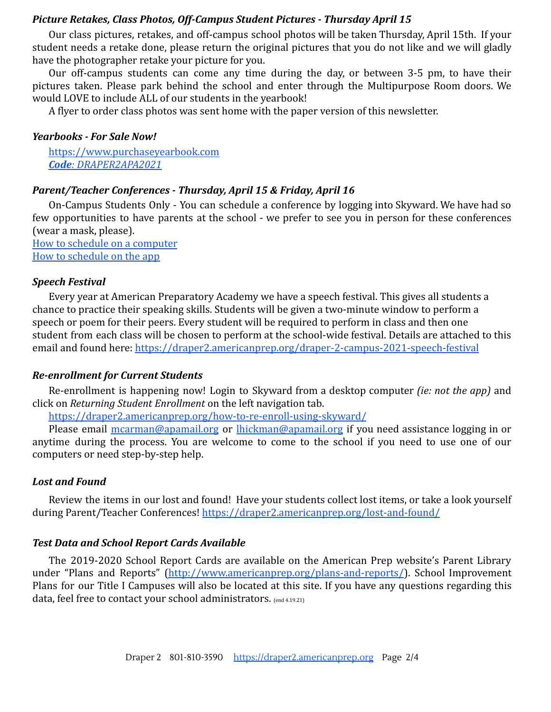### *Picture Retakes, Class Photos, Off-Campus Student Pictures - Thursday April 15*

Our class pictures, retakes, and off-campus school photos will be taken Thursday, April 15th. If your student needs a retake done, please return the original pictures that you do not like and we will gladly have the photographer retake your picture for you.

Our off-campus students can come any time during the day, or between 3-5 pm, to have their pictures taken. Please park behind the school and enter through the Multipurpose Room doors. We would LOVE to include ALL of our students in the yearbook!

A flyer to order class photos was sent home with the paper version of this newsletter.

#### *Yearbooks - For Sale Now!*

[https://www.purchaseyearbook.com](https://www.purchaseyearbook.com/Customer/Home/Index?prepay=DRAPER2APA2021) *Code: [DRAPER2APA2021](https://www.purchaseyearbook.com/Customer/Home/Index?prepay=DRAPER2APA2021)*

### *Parent/Teacher Conferences - Thursday, April 15 & Friday, April 16*

On-Campus Students Only - You can schedule a conference by logging into Skyward. We have had so few opportunities to have parents at the school - we prefer to see you in person for these conferences (wear a mask, please).

[How to schedule on a computer](https://draper2.americanprep.org/wp-content/uploads/sites/3/2020/10/Directions_PTCs-Desktop.pdf) [How to schedule on the app](https://draper2.americanprep.org/wp-content/uploads/sites/3/2020/10/Directions_PTCS-App.pdf)

#### *Speech Festival*

Every year at American Preparatory Academy we have a speech festival. This gives all students a chance to practice their speaking skills. Students will be given a two-minute window to perform a speech or poem for their peers. Every student will be required to perform in class and then one student from each class will be chosen to perform at the school-wide festival. Details are attached to this email and found here: <https://draper2.americanprep.org/draper-2-campus-2021-speech-festival>

### *Re-enrollment for Current Students*

Re-enrollment is happening now! Login to Skyward from a desktop computer *(ie: not the app)* and click on *Returning Student Enrollment* on the left navigation tab.

<https://draper2.americanprep.org/how-to-re-enroll-using-skyward/>

Please email [mcarman@apamail.org](mailto:mcarman@apamail.org) or [lhickman@apamail.org](mailto:lhickman@apamail.org) if you need assistance logging in or anytime during the process. You are welcome to come to the school if you need to use one of our computers or need step-by-step help.

#### *Lost and Found*

Review the items in our lost and found! Have your students collect lost items, or take a look yourself during Parent/Teacher Conferences! <https://draper2.americanprep.org/lost-and-found/>

#### *Test Data and School Report Cards Available*

The 2019-2020 School Report Cards are available on the American Prep website's Parent Library under "Plans and Reports" [\(http://www.americanprep.org/plans-and-reports/](http://www.americanprep.org/plans-and-reports/)). School Improvement Plans for our Title I Campuses will also be located at this site. If you have any questions regarding this data, feel free to contact your school administrators. (end 4.19.21)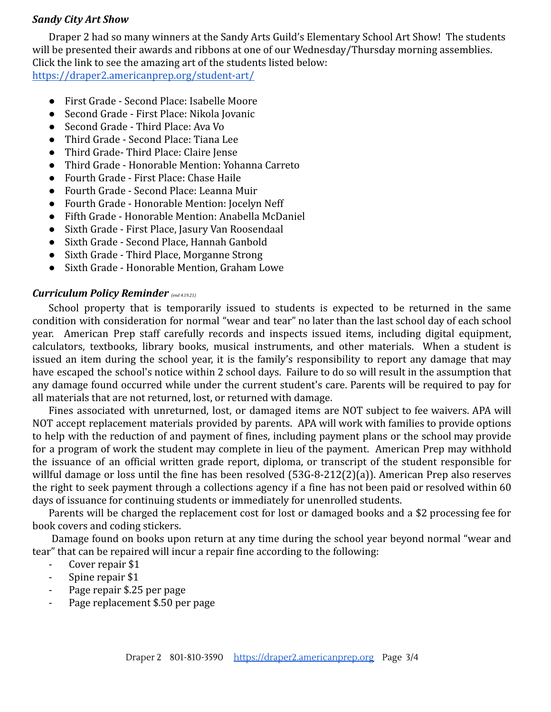### *Sandy City Art Show*

Draper 2 had so many winners at the Sandy Arts Guild's Elementary School Art Show! The students will be presented their awards and ribbons at one of our Wednesday/Thursday morning assemblies. Click the link to see the amazing art of the students listed below: <https://draper2.americanprep.org/student-art/>

- First Grade Second Place: Isabelle Moore
- Second Grade First Place: Nikola Jovanic
- Second Grade Third Place: Ava Vo
- Third Grade Second Place: Tiana Lee
- Third Grade- Third Place: Claire Jense
- Third Grade Honorable Mention: Yohanna Carreto
- Fourth Grade First Place: Chase Haile
- Fourth Grade Second Place: Leanna Muir
- Fourth Grade Honorable Mention: Jocelyn Neff
- Fifth Grade Honorable Mention: Anabella McDaniel
- Sixth Grade First Place, Jasury Van Roosendaal
- Sixth Grade Second Place, Hannah Ganbold
- Sixth Grade Third Place, Morganne Strong
- Sixth Grade Honorable Mention, Graham Lowe

### *Curriculum Policy Reminder (end 4.19.21)*

School property that is temporarily issued to students is expected to be returned in the same condition with consideration for normal "wear and tear" no later than the last school day of each school year. American Prep staff carefully records and inspects issued items, including digital equipment, calculators, textbooks, library books, musical instruments, and other materials. When a student is issued an item during the school year, it is the family's responsibility to report any damage that may have escaped the school's notice within 2 school days. Failure to do so will result in the assumption that any damage found occurred while under the current student's care. Parents will be required to pay for all materials that are not returned, lost, or returned with damage.

Fines associated with unreturned, lost, or damaged items are NOT subject to fee waivers. APA will NOT accept replacement materials provided by parents. APA will work with families to provide options to help with the reduction of and payment of fines, including payment plans or the school may provide for a program of work the student may complete in lieu of the payment. American Prep may withhold the issuance of an official written grade report, diploma, or transcript of the student responsible for willful damage or loss until the fine has been resolved (53G-8-212(2)(a)). American Prep also reserves the right to seek payment through a collections agency if a fine has not been paid or resolved within 60 days of issuance for continuing students or immediately for unenrolled students.

Parents will be charged the replacement cost for lost or damaged books and a \$2 processing fee for book covers and coding stickers.

Damage found on books upon return at any time during the school year beyond normal "wear and tear" that can be repaired will incur a repair fine according to the following:

- Cover repair \$1
- Spine repair \$1
- Page repair \$.25 per page
- Page replacement \$.50 per page